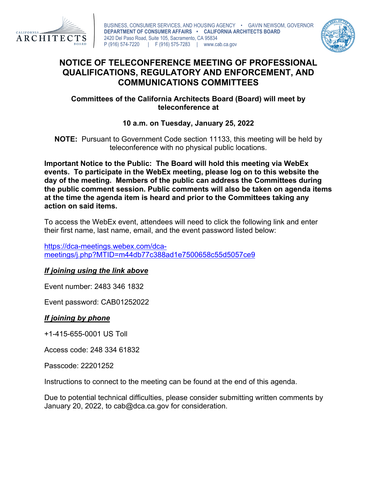



# **NOTICE OF TELECONFERENCE MEETING OF PROFESSIONAL QUALIFICATIONS, REGULATORY AND ENFORCEMENT, AND COMMUNICATIONS COMMITTEES**

## **Committees of the California Architects Board (Board) will meet by teleconference at**

# **10 a.m. on Tuesday, January 25, 2022**

**NOTE:** Pursuant to Government Code section 11133, this meeting will be held by teleconference with no physical public locations.

**Important Notice to the Public: The Board will hold this meeting via WebEx events. To participate in the WebEx meeting, please log on to this website the day of the meeting. Members of the public can address the Committees during the public comment session. Public comments will also be taken on agenda items at the time the agenda item is heard and prior to the Committees taking any action on said items.**

To access the WebEx event, attendees will need to click the following link and enter their first name, last name, email, and the event password listed below:

[https://dca-meetings.webex.com/dca](https://dca-meetings.webex.com/dca-meetings/j.php?MTID=m44db77c388ad1e7500658c55d5057ce9)[meetings/j.php?MTID=m44db77c388ad1e7500658c55d5057ce9](https://dca-meetings.webex.com/dca-meetings/j.php?MTID=m44db77c388ad1e7500658c55d5057ce9)

### *If joining using the link above*

Event number: 2483 346 1832

Event password: CAB01252022

# *If joining by phone*

+1-415-655-0001 US Toll

Access code: 248 334 61832

Passcode: 22201252

Instructions to connect to the meeting can be found at the end of this agenda.

Due to potential technical difficulties, please consider submitting written comments by January 20, 2022, to cab@dca.ca.gov for consideration.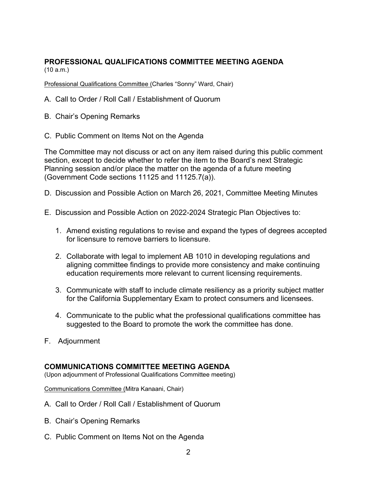#### **PROFESSIONAL QUALIFICATIONS COMMITTEE MEETING AGENDA** (10 a.m.)

Professional Qualifications Committee (Charles "Sonny" Ward, Chair)

- A. Call to Order / Roll Call / Establishment of Quorum
- B. Chair's Opening Remarks
- C. Public Comment on Items Not on the Agenda

The Committee may not discuss or act on any item raised during this public comment section, except to decide whether to refer the item to the Board's next Strategic Planning session and/or place the matter on the agenda of a future meeting (Government Code sections 11125 and 11125.7(a)).

- D. Discussion and Possible Action on March 26, 2021, Committee Meeting Minutes
- E. Discussion and Possible Action on 2022-2024 Strategic Plan Objectives to:
	- 1. Amend existing regulations to revise and expand the types of degrees accepted for licensure to remove barriers to licensure.
	- 2. Collaborate with legal to implement AB 1010 in developing regulations and aligning committee findings to provide more consistency and make continuing education requirements more relevant to current licensing requirements.
	- 3. Communicate with staff to include climate resiliency as a priority subject matter for the California Supplementary Exam to protect consumers and licensees.
	- 4. Communicate to the public what the professional qualifications committee has suggested to the Board to promote the work the committee has done.
- F. Adjournment

#### **COMMUNICATIONS COMMITTEE MEETING AGENDA**

(Upon adjournment of Professional Qualifications Committee meeting)

Communications Committee (Mitra Kanaani, Chair)

- A. Call to Order / Roll Call / Establishment of Quorum
- B. Chair's Opening Remarks
- C. Public Comment on Items Not on the Agenda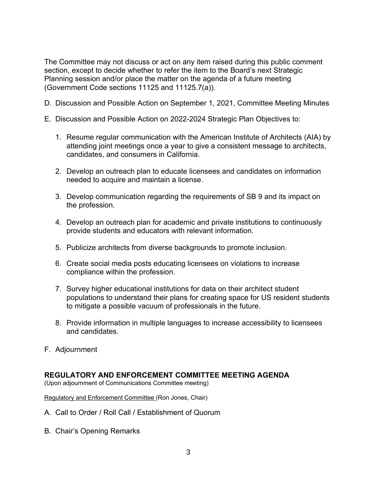The Committee may not discuss or act on any item raised during this public comment section, except to decide whether to refer the item to the Board's next Strategic Planning session and/or place the matter on the agenda of a future meeting (Government Code sections 11125 and 11125.7(a)).

- D. Discussion and Possible Action on September 1, 2021, Committee Meeting Minutes
- E. Discussion and Possible Action on 2022-2024 Strategic Plan Objectives to:
	- 1. Resume regular communication with the American Institute of Architects (AIA) by attending joint meetings once a year to give a consistent message to architects, candidates, and consumers in California.
	- 2. Develop an outreach plan to educate licensees and candidates on information needed to acquire and maintain a license.
	- 3. Develop communication regarding the requirements of SB 9 and its impact on the profession.
	- 4. Develop an outreach plan for academic and private institutions to continuously provide students and educators with relevant information.
	- 5. Publicize architects from diverse backgrounds to promote inclusion.
	- 6. Create social media posts educating licensees on violations to increase compliance within the profession.
	- 7. Survey higher educational institutions for data on their architect student populations to understand their plans for creating space for US resident students to mitigate a possible vacuum of professionals in the future.
	- 8. Provide information in multiple languages to increase accessibility to licensees and candidates.
- F. Adjournment

#### **REGULATORY AND ENFORCEMENT COMMITTEE MEETING AGENDA**

(Upon adjournment of Communications Committee meeting)

Regulatory and Enforcement Committee (Ron Jones, Chair)

- A. Call to Order / Roll Call / Establishment of Quorum
- B. Chair's Opening Remarks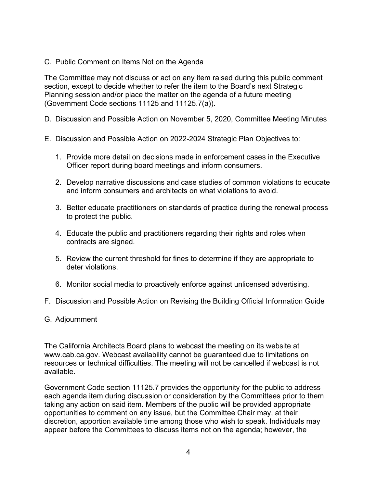C. Public Comment on Items Not on the Agenda

The Committee may not discuss or act on any item raised during this public comment section, except to decide whether to refer the item to the Board's next Strategic Planning session and/or place the matter on the agenda of a future meeting (Government Code sections 11125 and 11125.7(a)).

- D. Discussion and Possible Action on November 5, 2020, Committee Meeting Minutes
- E. Discussion and Possible Action on 2022-2024 Strategic Plan Objectives to:
	- 1. Provide more detail on decisions made in enforcement cases in the Executive Officer report during board meetings and inform consumers.
	- 2. Develop narrative discussions and case studies of common violations to educate and inform consumers and architects on what violations to avoid.
	- 3. Better educate practitioners on standards of practice during the renewal process to protect the public.
	- 4. Educate the public and practitioners regarding their rights and roles when contracts are signed.
	- 5. Review the current threshold for fines to determine if they are appropriate to deter violations.
	- 6. Monitor social media to proactively enforce against unlicensed advertising.
- F. Discussion and Possible Action on Revising the Building Official Information Guide
- G. Adjournment

The California Architects Board plans to webcast the meeting on its website at www.cab.ca.gov. Webcast availability cannot be guaranteed due to limitations on resources or technical difficulties. The meeting will not be cancelled if webcast is not available.

Government Code section 11125.7 provides the opportunity for the public to address each agenda item during discussion or consideration by the Committees prior to them taking any action on said item. Members of the public will be provided appropriate opportunities to comment on any issue, but the Committee Chair may, at their discretion, apportion available time among those who wish to speak. Individuals may appear before the Committees to discuss items not on the agenda; however, the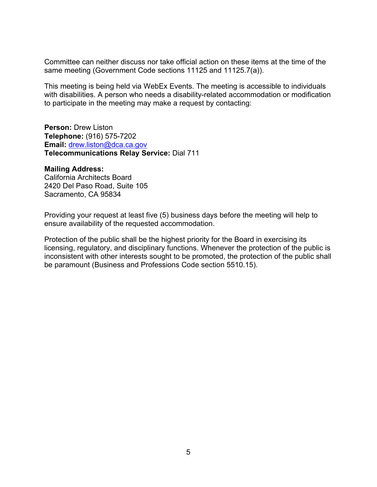Committee can neither discuss nor take official action on these items at the time of the same meeting (Government Code sections 11125 and 11125.7(a)).

This meeting is being held via WebEx Events. The meeting is accessible to individuals with disabilities. A person who needs a disability-related accommodation or modification to participate in the meeting may make a request by contacting:

**Person:** Drew Liston **Telephone:** (916) 575-7202 **Email:** [drew.liston@dca.ca.gov](mailto:drew.liston@dca.ca.gov) **Telecommunications Relay Service:** Dial 711

#### **Mailing Address:**

California Architects Board 2420 Del Paso Road, Suite 105 Sacramento, CA 95834

Providing your request at least five (5) business days before the meeting will help to ensure availability of the requested accommodation.

Protection of the public shall be the highest priority for the Board in exercising its licensing, regulatory, and disciplinary functions. Whenever the protection of the public is inconsistent with other interests sought to be promoted, the protection of the public shall be paramount (Business and Professions Code section 5510.15).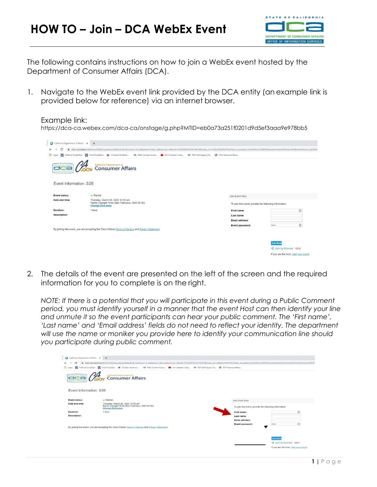

The following contains instructions on how to join a WebEx event hosted by the Department of Consumer Affairs (DCA).

1. Navigate to the WebEx event link provided by the DCA entity (an example link is provided below for reference) via an internet browser.

#### Example link:

https://dca-ca.webex.com/dca-ca/onstage/g.php?MTID=eb0a73a251f0201d9d5ef3aaa9e978bb5



2. The details of the event are presented on the left of the screen and the required information for you to complete is on the right.

*NOTE: If there is a potential that you will participate in this event during a Public Comment period, you must identify yourself in a manner that the event Host can then identify your line and unmute it so the event participants can hear your public comment. The 'First name', 'Last name' and 'Email address' fields do not need to reflect your identity. The department will use the name or moniker you provide here to identify your communication line should you participate during public comment.*

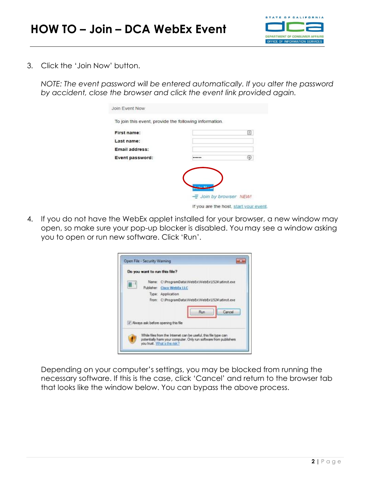

3. Click the 'Join Now' button.

*NOTE: The event password will be entered automatically. If you alter the password by accident, close the browser and click the event link provided again.*

| To join this event, provide the following information. |   |
|--------------------------------------------------------|---|
| First name:                                            | 国 |
| Last name:                                             |   |
| Email address:                                         |   |
| Event password:                                        | ④ |

4. If you do not have the WebEx applet installed for your browser, a new window may open, so make sure your pop-up blocker is disabled. You may see a window asking you to open or run new software. Click 'Run'.



Depending on your computer's settings, you may be blocked from running the necessary software. If this is the case, click 'Cancel' and return to the browser tab that looks like the window below. You can bypass the above process.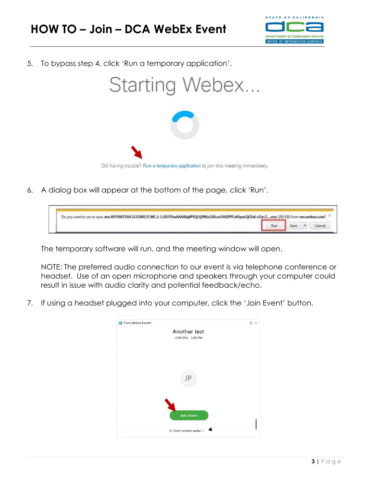

5. To bypass step 4, click 'Run a temporary application'.



6. A dialog box will appear at the bottom of the page, click 'Run'.

| Do you want to run or save .mn.4075687244.513108137.MC,1-1.SDJTSwAAAAIqBPSQLQ0WuJ18Los1V6ZPPCxIUjwLQCEnI-cOzc2 exe (293 KB) from mn.webex.com? |  |  |
|------------------------------------------------------------------------------------------------------------------------------------------------|--|--|
|                                                                                                                                                |  |  |

The temporary software will run, and the meeting window will open.

NOTE: The preferred audio connection to our event is via telephone conference or headset. Use of an open microphone and speakers through your computer could result in issue with audio clarity and potential feedback/echo.

7. If using a headset plugged into your computer, click the 'Join Event' button.

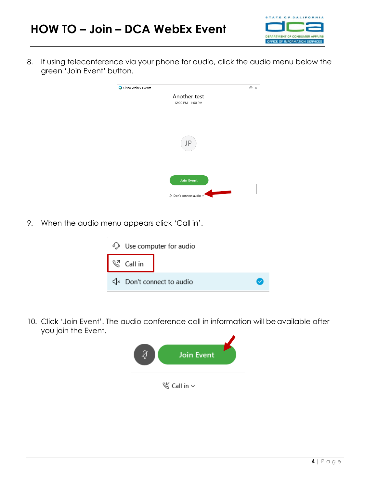

8. If using teleconference via your phone for audio, click the audio menu below the green 'Join Event' button.



9. When the audio menu appears click 'Call in'.



10. Click 'Join Event'. The audio conference call in information will be available after you join the Event.

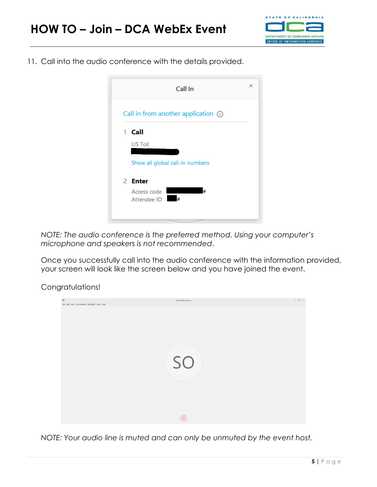

11. Call into the audio conference with the details provided.

| Call In                                  | $\times$ |
|------------------------------------------|----------|
| Call in from another application $\odot$ |          |
| 1. Call                                  |          |
| US Toll                                  |          |
| Show all global call-in numbers          |          |
| 2. Enter                                 |          |
| #<br>Access code<br>#<br>Attendee ID     |          |
|                                          |          |

*NOTE: The audio conference is the preferred method. Using your computer's microphone and speakers is not recommended*.

Once you successfully call into the audio conference with the information provided, your screen will look like the screen below and you have joined the event.

Congratulations!



*NOTE: Your audio line is muted and can only be unmuted by the event host.*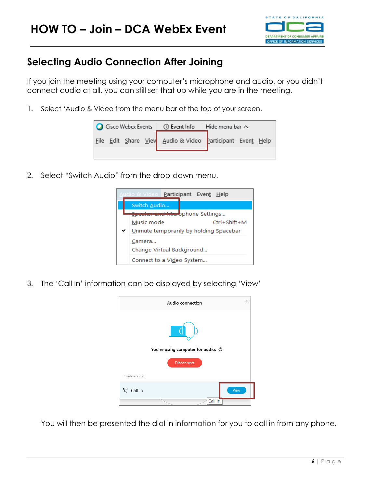

# **Selecting Audio Connection After Joining**

If you join the meeting using your computer's microphone and audio, or you didn't connect audio at all, you can still set that up while you are in the meeting.

1. Select 'Audio & Video from the menu bar at the top of your screen.

| C Cisco Webex Events <b>C</b> Event Info<br>Hide menu bar $\wedge$ |  |  |
|--------------------------------------------------------------------|--|--|
| Eile Edit Share View Audio & Video Participant Event Help          |  |  |

2. Select "Switch Audio" from the drop-down menu.



3. The 'Call In' information can be displayed by selecting 'View'



You will then be presented the dial in information for you to call in from any phone.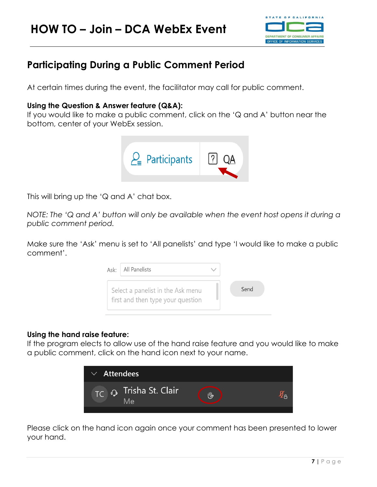

# **Participating During a Public Comment Period**

At certain times during the event, the facilitator may call for public comment.

## **Using the Question & Answer feature (Q&A):**

If you would like to make a public comment, click on the 'Q and A' button near the bottom, center of your WebEx session.



This will bring up the 'Q and A' chat box.

*NOTE: The 'Q and A' button will only be available when the event host opens it during a public comment period.*

Make sure the 'Ask' menu is set to 'All panelists' and type 'I would like to make a public comment'.

| Ask: | All Panelists                                                          |      |
|------|------------------------------------------------------------------------|------|
|      | Select a panelist in the Ask menu<br>first and then type your question | Send |

### **Using the hand raise feature:**

If the program elects to allow use of the hand raise feature and you would like to make a public comment, click on the hand icon next to your name.



Please click on the hand icon again once your comment has been presented to lower your hand.